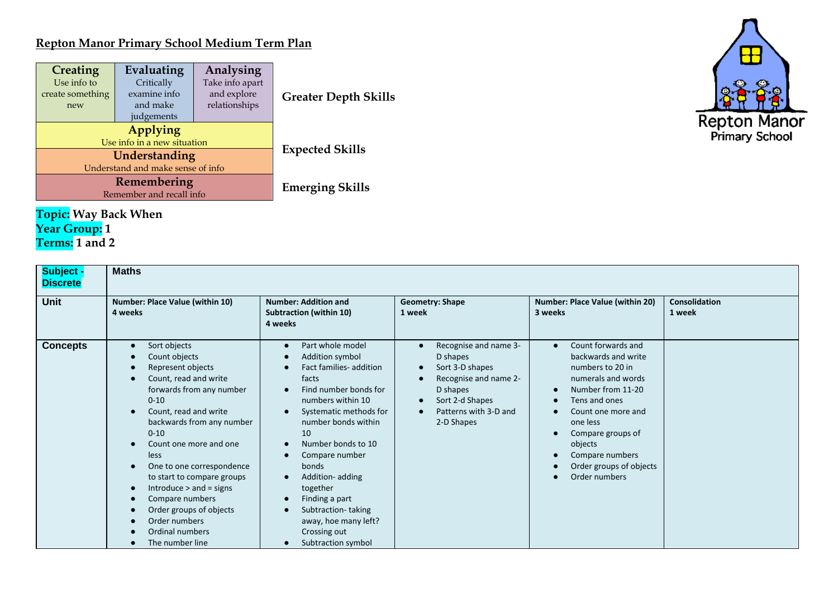## **Repton Manor Primary School Medium Term Plan**

| <b>Creating</b><br>Use info to<br>create something<br>new | Evaluating<br>Critically<br>examine info<br>and make<br>judgements | Analysing<br>Take info apart<br>and explore<br>relationships | <b>Greater Depth Skills</b> |
|-----------------------------------------------------------|--------------------------------------------------------------------|--------------------------------------------------------------|-----------------------------|
|                                                           | Applying<br>Use info in a new situation                            |                                                              |                             |
|                                                           | Understanding                                                      | <b>Expected Skills</b>                                       |                             |
|                                                           | Understand and make sense of info                                  |                                                              |                             |
|                                                           | Remembering                                                        | <b>Emerging Skills</b>                                       |                             |
|                                                           | Remember and recall info                                           |                                                              |                             |

## **Topic: Way Back When Year Group: 1 Terms: 1 and 2**

| Subject -<br><b>Discrete</b> | <b>Maths</b>                                                                                                                                                                                                                                                                                                                                                                                                                                                                            |                                                                                                                                                                                                                                                                                                                                                                                                                                                                            |                                                                                                                                                     |                                                                                                                                                                                                                                                            |                                |
|------------------------------|-----------------------------------------------------------------------------------------------------------------------------------------------------------------------------------------------------------------------------------------------------------------------------------------------------------------------------------------------------------------------------------------------------------------------------------------------------------------------------------------|----------------------------------------------------------------------------------------------------------------------------------------------------------------------------------------------------------------------------------------------------------------------------------------------------------------------------------------------------------------------------------------------------------------------------------------------------------------------------|-----------------------------------------------------------------------------------------------------------------------------------------------------|------------------------------------------------------------------------------------------------------------------------------------------------------------------------------------------------------------------------------------------------------------|--------------------------------|
| <b>Unit</b>                  | Number: Place Value (within 10)<br>4 weeks                                                                                                                                                                                                                                                                                                                                                                                                                                              | <b>Number: Addition and</b><br><b>Subtraction (within 10)</b><br>4 weeks                                                                                                                                                                                                                                                                                                                                                                                                   | <b>Geometry: Shape</b><br>1 week                                                                                                                    | Number: Place Value (within 20)<br>3 weeks                                                                                                                                                                                                                 | <b>Consolidation</b><br>1 week |
| <b>Concepts</b>              | Sort objects<br>$\bullet$<br>Count objects<br>Represent objects<br>Count, read and write<br>forwards from any number<br>$0 - 10$<br>Count, read and write<br>$\bullet$<br>backwards from any number<br>$0 - 10$<br>Count one more and one<br>less<br>One to one correspondence<br>$\bullet$<br>to start to compare groups<br>Introduce $>$ and $=$ signs<br>$\bullet$<br>Compare numbers<br>Order groups of objects<br>$\bullet$<br>Order numbers<br>Ordinal numbers<br>The number line | Part whole model<br>$\bullet$<br>Addition symbol<br>$\bullet$<br>Fact families- addition<br>facts<br>Find number bonds for<br>numbers within 10<br>Systematic methods for<br>$\bullet$<br>number bonds within<br>10<br>Number bonds to 10<br>$\bullet$<br>Compare number<br>bonds<br>Addition-adding<br>$\bullet$<br>together<br>Finding a part<br>$\bullet$<br>Subtraction-taking<br>$\bullet$<br>away, hoe many left?<br>Crossing out<br>Subtraction symbol<br>$\bullet$ | Recognise and name 3-<br>D shapes<br>Sort 3-D shapes<br>Recognise and name 2-<br>D shapes<br>Sort 2-d Shapes<br>Patterns with 3-D and<br>2-D Shapes | Count forwards and<br>backwards and write<br>numbers to 20 in<br>numerals and words<br>Number from 11-20<br>Tens and ones<br>Count one more and<br>one less<br>Compare groups of<br>objects<br>Compare numbers<br>Order groups of objects<br>Order numbers |                                |

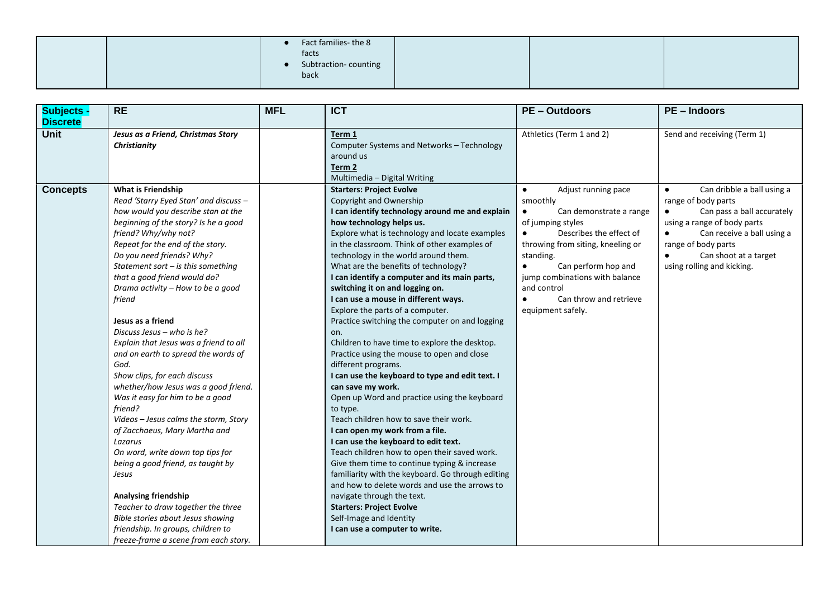|  | Fact families-the 8<br>facts<br>Subtraction-counting<br>back |  |  |
|--|--------------------------------------------------------------|--|--|
|  |                                                              |  |  |

| <b>Subjects -</b><br><b>Discrete</b> | <b>RE</b>                                                                                                                                                                                                                                                                                                                                                                                                                                                                                                                                                                                                                                                                                                                                                                                                                                                                | <b>MFL</b> | <b>ICT</b>                                                                                                                                                                                                                                                                                                                                                                                                                                                                                                                                                                                                                                                                                                                                                                                                                                                                                                                                                                                                                                                                                                                                                                                                 | <b>PE-Outdoors</b>                                                                                                                                                                                                                                                                                            | <b>PE-Indoors</b>                                                                                                                                                                                                                                                 |
|--------------------------------------|--------------------------------------------------------------------------------------------------------------------------------------------------------------------------------------------------------------------------------------------------------------------------------------------------------------------------------------------------------------------------------------------------------------------------------------------------------------------------------------------------------------------------------------------------------------------------------------------------------------------------------------------------------------------------------------------------------------------------------------------------------------------------------------------------------------------------------------------------------------------------|------------|------------------------------------------------------------------------------------------------------------------------------------------------------------------------------------------------------------------------------------------------------------------------------------------------------------------------------------------------------------------------------------------------------------------------------------------------------------------------------------------------------------------------------------------------------------------------------------------------------------------------------------------------------------------------------------------------------------------------------------------------------------------------------------------------------------------------------------------------------------------------------------------------------------------------------------------------------------------------------------------------------------------------------------------------------------------------------------------------------------------------------------------------------------------------------------------------------------|---------------------------------------------------------------------------------------------------------------------------------------------------------------------------------------------------------------------------------------------------------------------------------------------------------------|-------------------------------------------------------------------------------------------------------------------------------------------------------------------------------------------------------------------------------------------------------------------|
| <b>Unit</b>                          | Jesus as a Friend, Christmas Story<br>Christianity                                                                                                                                                                                                                                                                                                                                                                                                                                                                                                                                                                                                                                                                                                                                                                                                                       |            | Term 1<br>Computer Systems and Networks - Technology<br>around us                                                                                                                                                                                                                                                                                                                                                                                                                                                                                                                                                                                                                                                                                                                                                                                                                                                                                                                                                                                                                                                                                                                                          | Athletics (Term 1 and 2)                                                                                                                                                                                                                                                                                      | Send and receiving (Term 1)                                                                                                                                                                                                                                       |
|                                      |                                                                                                                                                                                                                                                                                                                                                                                                                                                                                                                                                                                                                                                                                                                                                                                                                                                                          |            | Term 2<br>Multimedia – Digital Writing                                                                                                                                                                                                                                                                                                                                                                                                                                                                                                                                                                                                                                                                                                                                                                                                                                                                                                                                                                                                                                                                                                                                                                     |                                                                                                                                                                                                                                                                                                               |                                                                                                                                                                                                                                                                   |
| <b>Concepts</b>                      | <b>What is Friendship</b><br>Read 'Starry Eyed Stan' and discuss -<br>how would you describe stan at the<br>beginning of the story? Is he a good<br>friend? Why/why not?<br>Repeat for the end of the story.<br>Do you need friends? Why?<br>Statement sort $-$ is this something<br>that a good friend would do?<br>Drama activity - How to be a good<br>friend<br>Jesus as a friend<br>Discuss Jesus - who is he?<br>Explain that Jesus was a friend to all<br>and on earth to spread the words of<br>God.<br>Show clips, for each discuss<br>whether/how Jesus was a good friend.<br>Was it easy for him to be a good<br>friend?<br>Videos - Jesus calms the storm, Story<br>of Zacchaeus, Mary Martha and<br>Lazarus<br>On word, write down top tips for<br>being a good friend, as taught by<br>Jesus<br>Analysing friendship<br>Teacher to draw together the three |            | <b>Starters: Project Evolve</b><br>Copyright and Ownership<br>I can identify technology around me and explain<br>how technology helps us.<br>Explore what is technology and locate examples<br>in the classroom. Think of other examples of<br>technology in the world around them.<br>What are the benefits of technology?<br>I can identify a computer and its main parts,<br>switching it on and logging on.<br>I can use a mouse in different ways.<br>Explore the parts of a computer.<br>Practice switching the computer on and logging<br>on.<br>Children to have time to explore the desktop.<br>Practice using the mouse to open and close<br>different programs.<br>I can use the keyboard to type and edit text. I<br>can save my work.<br>Open up Word and practice using the keyboard<br>to type.<br>Teach children how to save their work.<br>I can open my work from a file.<br>I can use the keyboard to edit text.<br>Teach children how to open their saved work.<br>Give them time to continue typing & increase<br>familiarity with the keyboard. Go through editing<br>and how to delete words and use the arrows to<br>navigate through the text.<br><b>Starters: Project Evolve</b> | $\bullet$<br>Adjust running pace<br>smoothly<br>Can demonstrate a range<br>of jumping styles<br>Describes the effect of<br>throwing from siting, kneeling or<br>standing.<br>$\bullet$<br>Can perform hop and<br>jump combinations with balance<br>and control<br>Can throw and retrieve<br>equipment safely. | Can dribble a ball using a<br>$\bullet$<br>range of body parts<br>Can pass a ball accurately<br>using a range of body parts<br>Can receive a ball using a<br>$\bullet$<br>range of body parts<br>Can shoot at a target<br>$\bullet$<br>using rolling and kicking. |
|                                      | Bible stories about Jesus showing<br>friendship. In groups, children to<br>freeze-frame a scene from each story.                                                                                                                                                                                                                                                                                                                                                                                                                                                                                                                                                                                                                                                                                                                                                         |            | Self-Image and Identity<br>I can use a computer to write.                                                                                                                                                                                                                                                                                                                                                                                                                                                                                                                                                                                                                                                                                                                                                                                                                                                                                                                                                                                                                                                                                                                                                  |                                                                                                                                                                                                                                                                                                               |                                                                                                                                                                                                                                                                   |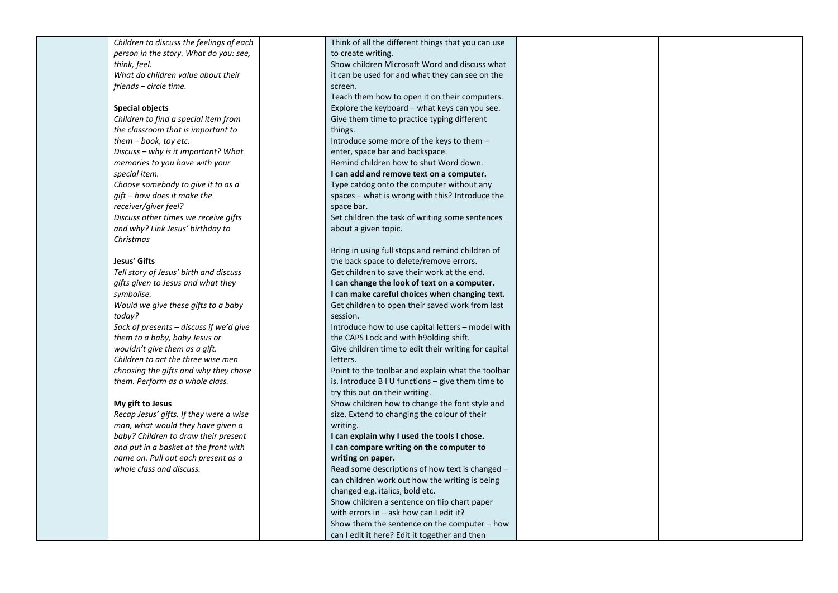| Children to discuss the feelings of each  | Think of all the different things that you can use       |  |
|-------------------------------------------|----------------------------------------------------------|--|
| person in the story. What do you: see,    | to create writing.                                       |  |
| think, feel.                              | Show children Microsoft Word and discuss what            |  |
| What do children value about their        | it can be used for and what they can see on the          |  |
| friends – circle time.                    | screen.                                                  |  |
|                                           | Teach them how to open it on their computers.            |  |
| <b>Special objects</b>                    | Explore the keyboard - what keys can you see.            |  |
| Children to find a special item from      | Give them time to practice typing different              |  |
| the classroom that is important to        | things.                                                  |  |
| $them - book, toy etc.$                   | Introduce some more of the keys to them -                |  |
| Discuss – why is it important? What       | enter, space bar and backspace.                          |  |
| memories to you have with your            | Remind children how to shut Word down.                   |  |
| special item.                             | I can add and remove text on a computer.                 |  |
| Choose somebody to give it to as a        | Type catdog onto the computer without any                |  |
| $qift - how$ does it make the             | spaces - what is wrong with this? Introduce the          |  |
| receiver/giver feel?                      | space bar.                                               |  |
| Discuss other times we receive gifts      | Set children the task of writing some sentences          |  |
| and why? Link Jesus' birthday to          | about a given topic.                                     |  |
| Christmas                                 |                                                          |  |
|                                           | Bring in using full stops and remind children of         |  |
| Jesus' Gifts                              | the back space to delete/remove errors.                  |  |
| Tell story of Jesus' birth and discuss    | Get children to save their work at the end.              |  |
| gifts given to Jesus and what they        | I can change the look of text on a computer.             |  |
| symbolise.                                | I can make careful choices when changing text.           |  |
| Would we give these gifts to a baby       | Get children to open their saved work from last          |  |
| today?                                    | session.                                                 |  |
| Sack of presents $-$ discuss if we'd give | Introduce how to use capital letters - model with        |  |
| them to a baby, baby Jesus or             | the CAPS Lock and with h9olding shift.                   |  |
| wouldn't give them as a gift.             | Give children time to edit their writing for capital     |  |
| Children to act the three wise men        | letters.                                                 |  |
| choosing the gifts and why they chose     | Point to the toolbar and explain what the toolbar        |  |
| them. Perform as a whole class.           | is. Introduce $B \cup I$ functions $-$ give them time to |  |
|                                           | try this out on their writing.                           |  |
| My gift to Jesus                          | Show children how to change the font style and           |  |
| Recap Jesus' gifts. If they were a wise   | size. Extend to changing the colour of their             |  |
| man, what would they have given a         | writing.                                                 |  |
| baby? Children to draw their present      | I can explain why I used the tools I chose.              |  |
| and put in a basket at the front with     | I can compare writing on the computer to                 |  |
| name on. Pull out each present as a       | writing on paper.                                        |  |
| whole class and discuss.                  | Read some descriptions of how text is changed -          |  |
|                                           | can children work out how the writing is being           |  |
|                                           | changed e.g. italics, bold etc.                          |  |
|                                           | Show children a sentence on flip chart paper             |  |
|                                           | with errors in $-$ ask how can I edit it?                |  |
|                                           | Show them the sentence on the computer $-$ how           |  |
|                                           | can I edit it here? Edit it together and then            |  |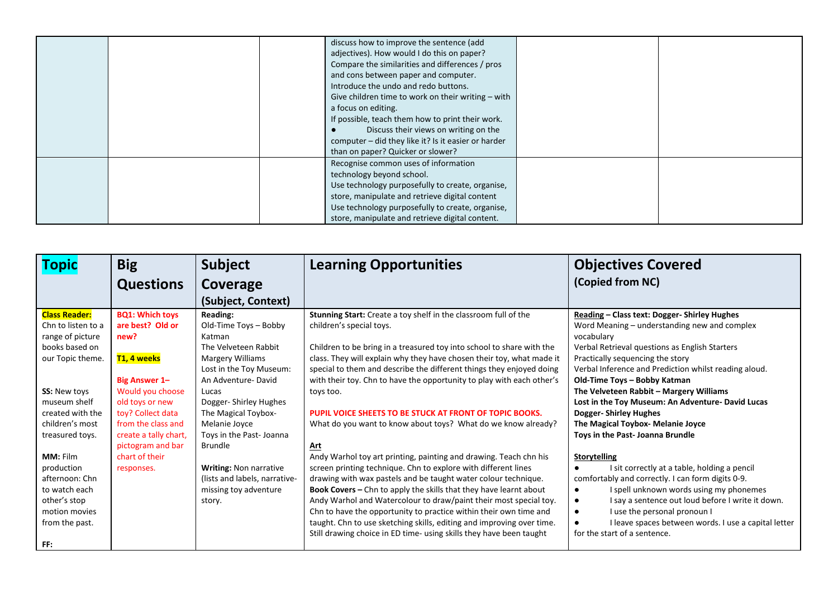|  | discuss how to improve the sentence (add<br>adjectives). How would I do this on paper?<br>Compare the similarities and differences / pros<br>and cons between paper and computer.<br>Introduce the undo and redo buttons.<br>Give children time to work on their writing $-$ with<br>a focus on editing.<br>If possible, teach them how to print their work. |  |
|--|--------------------------------------------------------------------------------------------------------------------------------------------------------------------------------------------------------------------------------------------------------------------------------------------------------------------------------------------------------------|--|
|  | Discuss their views on writing on the<br>computer - did they like it? Is it easier or harder<br>than on paper? Quicker or slower?                                                                                                                                                                                                                            |  |
|  | Recognise common uses of information<br>technology beyond school.<br>Use technology purposefully to create, organise,<br>store, manipulate and retrieve digital content<br>Use technology purposefully to create, organise,<br>store, manipulate and retrieve digital content.                                                                               |  |

| <b>Topic</b>         | <b>Big</b>               | <b>Subject</b>                | <b>Learning Opportunities</b>                                         | <b>Objectives Covered</b>                                      |
|----------------------|--------------------------|-------------------------------|-----------------------------------------------------------------------|----------------------------------------------------------------|
|                      | <b>Questions</b>         | Coverage                      |                                                                       | (Copied from NC)                                               |
|                      |                          | (Subject, Context)            |                                                                       |                                                                |
| <b>Class Reader:</b> | <b>BQ1: Which toys</b>   | Reading:                      | Stunning Start: Create a toy shelf in the classroom full of the       | Reading - Class text: Dogger- Shirley Hughes                   |
| Chn to listen to a   | are best? Old or         | Old-Time Toys - Bobby         | children's special toys.                                              | Word Meaning – understanding new and complex                   |
| range of picture     | new?                     | Katman                        |                                                                       | vocabulary                                                     |
| books based on       |                          | The Velveteen Rabbit          | Children to be bring in a treasured toy into school to share with the | Verbal Retrieval questions as English Starters                 |
| our Topic theme.     | <mark>T1, 4 weeks</mark> | Margery Williams              | class. They will explain why they have chosen their toy, what made it | Practically sequencing the story                               |
|                      |                          | Lost in the Toy Museum:       | special to them and describe the different things they enjoyed doing  | Verbal Inference and Prediction whilst reading aloud.          |
|                      | <b>Big Answer 1-</b>     | An Adventure-David            | with their toy. Chn to have the opportunity to play with each other's | Old-Time Toys - Bobby Katman                                   |
| <b>SS: New toys</b>  | Would you choose         | Lucas                         | toys too.                                                             | The Velveteen Rabbit - Margery Williams                        |
| museum shelf         | old toys or new          | Dogger- Shirley Hughes        |                                                                       | Lost in the Toy Museum: An Adventure- David Lucas              |
| created with the     | toy? Collect data        | The Magical Toybox-           | PUPIL VOICE SHEETS TO BE STUCK AT FRONT OF TOPIC BOOKS.               | <b>Dogger-Shirley Hughes</b>                                   |
| children's most      | from the class and       | Melanie Joyce                 | What do you want to know about toys? What do we know already?         | The Magical Toybox- Melanie Joyce                              |
| treasured toys.      | create a tally chart,    | Toys in the Past- Joanna      |                                                                       | Toys in the Past- Joanna Brundle                               |
|                      | pictogram and bar        | <b>Brundle</b>                | Art                                                                   |                                                                |
| MM: Film             | chart of their           |                               | Andy Warhol toy art printing, painting and drawing. Teach chn his     | Storytelling                                                   |
| production           | responses.               | <b>Writing: Non narrative</b> | screen printing technique. Chn to explore with different lines        | I sit correctly at a table, holding a pencil                   |
| afternoon: Chn       |                          | (lists and labels, narrative- | drawing with wax pastels and be taught water colour technique.        | comfortably and correctly. I can form digits 0-9.              |
| to watch each        |                          | missing toy adventure         | Book Covers - Chn to apply the skills that they have learnt about     | I spell unknown words using my phonemes<br>$\bullet$           |
| other's stop         |                          | story.                        | Andy Warhol and Watercolour to draw/paint their most special toy.     | I say a sentence out loud before I write it down.<br>$\bullet$ |
| motion movies        |                          |                               | Chn to have the opportunity to practice within their own time and     | I use the personal pronoun I                                   |
| from the past.       |                          |                               | taught. Chn to use sketching skills, editing and improving over time. | I leave spaces between words. I use a capital letter           |
|                      |                          |                               | Still drawing choice in ED time- using skills they have been taught   | for the start of a sentence.                                   |
| FF:                  |                          |                               |                                                                       |                                                                |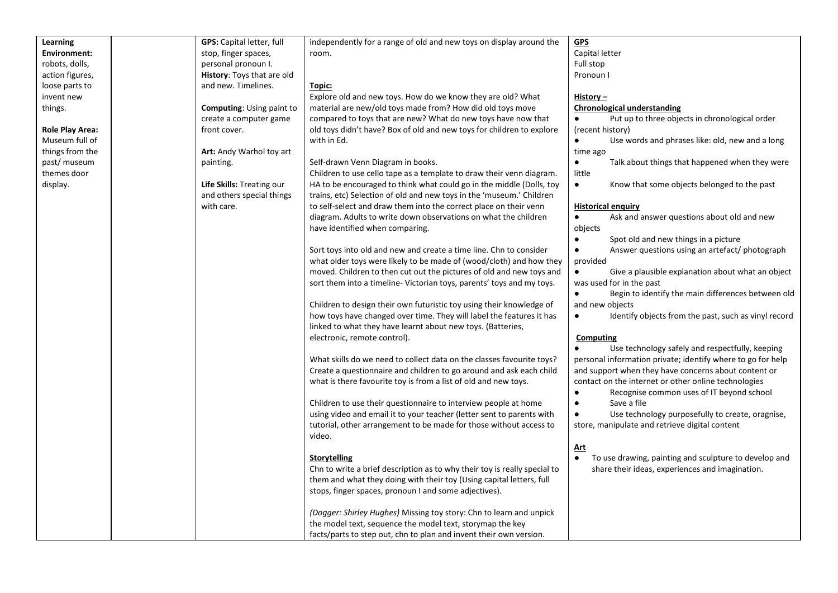| Learning               | <b>GPS:</b> Capital letter, full | independently for a range of old and new toys on display around the       | <b>GPS</b>                                                         |
|------------------------|----------------------------------|---------------------------------------------------------------------------|--------------------------------------------------------------------|
| <b>Environment:</b>    | stop, finger spaces,             | room.                                                                     | Capital letter                                                     |
| robots, dolls,         | personal pronoun I.              |                                                                           | Full stop                                                          |
|                        |                                  |                                                                           | Pronoun I                                                          |
| action figures,        | History: Toys that are old       |                                                                           |                                                                    |
| loose parts to         | and new. Timelines.              | Topic:                                                                    |                                                                    |
| invent new             |                                  | Explore old and new toys. How do we know they are old? What               | History $-$                                                        |
| things.                | <b>Computing: Using paint to</b> | material are new/old toys made from? How did old toys move                | <b>Chronological understanding</b>                                 |
|                        | create a computer game           | compared to toys that are new? What do new toys have now that             | Put up to three objects in chronological order<br>$\bullet$        |
| <b>Role Play Area:</b> | front cover.                     | old toys didn't have? Box of old and new toys for children to explore     | (recent history)                                                   |
| Museum full of         |                                  | with in Ed.                                                               | Use words and phrases like: old, new and a long<br>$\bullet$       |
| things from the        | Art: Andy Warhol toy art         |                                                                           | time ago                                                           |
| past/ museum           | painting.                        | Self-drawn Venn Diagram in books.                                         | $\bullet$<br>Talk about things that happened when they were        |
| themes door            |                                  | Children to use cello tape as a template to draw their venn diagram.      | little                                                             |
| display.               | Life Skills: Treating our        | HA to be encouraged to think what could go in the middle (Dolls, toy      | Know that some objects belonged to the past<br>$\bullet$           |
|                        | and others special things        | trains, etc) Selection of old and new toys in the 'museum.' Children      |                                                                    |
|                        | with care.                       | to self-select and draw them into the correct place on their venn         | <b>Historical enquiry</b>                                          |
|                        |                                  | diagram. Adults to write down observations on what the children           | Ask and answer questions about old and new<br>$\bullet$            |
|                        |                                  | have identified when comparing.                                           | objects                                                            |
|                        |                                  |                                                                           | $\bullet$<br>Spot old and new things in a picture                  |
|                        |                                  | Sort toys into old and new and create a time line. Chn to consider        | Answer questions using an artefact/ photograph<br>$\bullet$        |
|                        |                                  | what older toys were likely to be made of (wood/cloth) and how they       | provided                                                           |
|                        |                                  | moved. Children to then cut out the pictures of old and new toys and      | Give a plausible explanation about what an object<br>$\bullet$     |
|                        |                                  | sort them into a timeline-Victorian toys, parents' toys and my toys.      | was used for in the past                                           |
|                        |                                  |                                                                           | Begin to identify the main differences between old<br>$\bullet$    |
|                        |                                  | Children to design their own futuristic toy using their knowledge of      | and new objects                                                    |
|                        |                                  | how toys have changed over time. They will label the features it has      | Identify objects from the past, such as vinyl record<br>$\bullet$  |
|                        |                                  | linked to what they have learnt about new toys. (Batteries,               |                                                                    |
|                        |                                  |                                                                           |                                                                    |
|                        |                                  | electronic, remote control).                                              | Computing<br>Use technology safely and respectfully, keeping       |
|                        |                                  |                                                                           |                                                                    |
|                        |                                  | What skills do we need to collect data on the classes favourite toys?     | personal information private; identify where to go for help        |
|                        |                                  | Create a questionnaire and children to go around and ask each child       | and support when they have concerns about content or               |
|                        |                                  | what is there favourite toy is from a list of old and new toys.           | contact on the internet or other online technologies               |
|                        |                                  |                                                                           | Recognise common uses of IT beyond school                          |
|                        |                                  | Children to use their questionnaire to interview people at home           | Save a file<br>$\bullet$                                           |
|                        |                                  | using video and email it to your teacher (letter sent to parents with     | Use technology purposefully to create, oragnise,<br>$\bullet$      |
|                        |                                  | tutorial, other arrangement to be made for those without access to        | store, manipulate and retrieve digital content                     |
|                        |                                  | video.                                                                    |                                                                    |
|                        |                                  |                                                                           | <u>Art</u>                                                         |
|                        |                                  | <b>Storytelling</b>                                                       | To use drawing, painting and sculpture to develop and<br>$\bullet$ |
|                        |                                  | Chn to write a brief description as to why their toy is really special to | share their ideas, experiences and imagination.                    |
|                        |                                  | them and what they doing with their toy (Using capital letters, full      |                                                                    |
|                        |                                  | stops, finger spaces, pronoun I and some adjectives).                     |                                                                    |
|                        |                                  | (Dogger: Shirley Hughes) Missing toy story: Chn to learn and unpick       |                                                                    |
|                        |                                  | the model text, sequence the model text, storymap the key                 |                                                                    |
|                        |                                  | facts/parts to step out, chn to plan and invent their own version.        |                                                                    |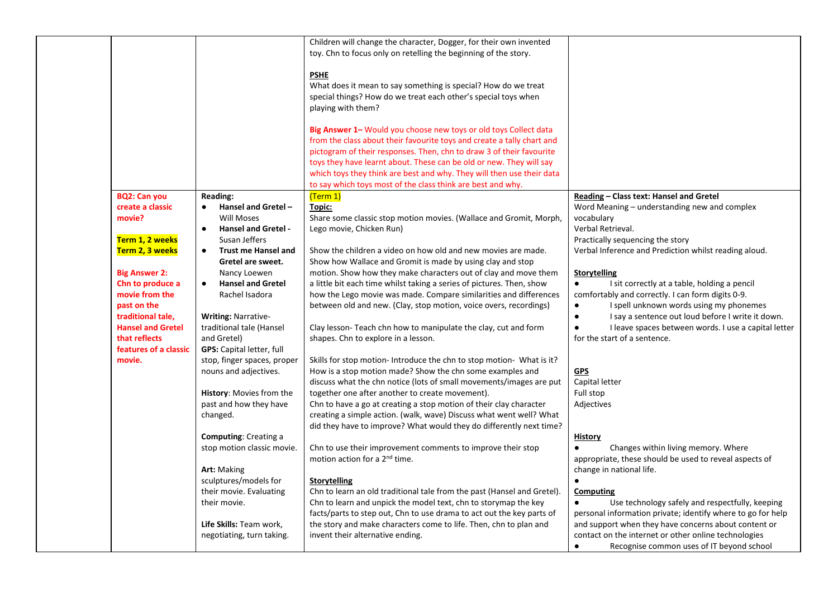|                                                                                                                                                                                                                                                                           |                                                                                                                                                                                                                                                                                                                                                                                                                                                                                                                                                                                              | Children will change the character, Dogger, for their own invented<br>toy. Chn to focus only on retelling the beginning of the story.<br><b>PSHE</b><br>What does it mean to say something is special? How do we treat<br>special things? How do we treat each other's special toys when<br>playing with them?<br>Big Answer 1- Would you choose new toys or old toys Collect data<br>from the class about their favourite toys and create a tally chart and<br>pictogram of their responses. Then, chn to draw 3 of their favourite<br>toys they have learnt about. These can be old or new. They will say<br>which toys they think are best and why. They will then use their data<br>to say which toys most of the class think are best and why.                                                                                                                                                                                                                                                                                                                                                                                                                                                                                                                                                                                            |                                                                                                                                                                                                                                                                                                                                                                                                                                                                                                                                                                                                                                                                                                                                                                                                                                                  |
|---------------------------------------------------------------------------------------------------------------------------------------------------------------------------------------------------------------------------------------------------------------------------|----------------------------------------------------------------------------------------------------------------------------------------------------------------------------------------------------------------------------------------------------------------------------------------------------------------------------------------------------------------------------------------------------------------------------------------------------------------------------------------------------------------------------------------------------------------------------------------------|------------------------------------------------------------------------------------------------------------------------------------------------------------------------------------------------------------------------------------------------------------------------------------------------------------------------------------------------------------------------------------------------------------------------------------------------------------------------------------------------------------------------------------------------------------------------------------------------------------------------------------------------------------------------------------------------------------------------------------------------------------------------------------------------------------------------------------------------------------------------------------------------------------------------------------------------------------------------------------------------------------------------------------------------------------------------------------------------------------------------------------------------------------------------------------------------------------------------------------------------------------------------------------------------------------------------------------------------|--------------------------------------------------------------------------------------------------------------------------------------------------------------------------------------------------------------------------------------------------------------------------------------------------------------------------------------------------------------------------------------------------------------------------------------------------------------------------------------------------------------------------------------------------------------------------------------------------------------------------------------------------------------------------------------------------------------------------------------------------------------------------------------------------------------------------------------------------|
| <b>BQ2: Can you</b><br>create a classic<br>movie?<br>Term 1, 2 weeks<br>Term 2, 3 weeks<br><b>Big Answer 2:</b><br>Chn to produce a<br>movie from the<br>past on the<br>traditional tale,<br><b>Hansel and Gretel</b><br>that reflects<br>features of a classic<br>movie. | <b>Reading:</b><br>Hansel and Gretel -<br>Will Moses<br><b>Hansel and Gretel -</b><br>Susan Jeffers<br><b>Trust me Hansel and</b><br>Gretel are sweet.<br>Nancy Loewen<br><b>Hansel and Gretel</b><br>Rachel Isadora<br><b>Writing: Narrative-</b><br>traditional tale (Hansel<br>and Gretel)<br><b>GPS:</b> Capital letter, full<br>stop, finger spaces, proper<br>nouns and adjectives.<br>History: Movies from the<br>past and how they have<br>changed.<br><b>Computing: Creating a</b><br>stop motion classic movie.<br>Art: Making<br>sculptures/models for<br>their movie. Evaluating | (Term 1)<br>Topic:<br>Share some classic stop motion movies. (Wallace and Gromit, Morph,<br>Lego movie, Chicken Run)<br>Show the children a video on how old and new movies are made.<br>Show how Wallace and Gromit is made by using clay and stop<br>motion. Show how they make characters out of clay and move them<br>a little bit each time whilst taking a series of pictures. Then, show<br>how the Lego movie was made. Compare similarities and differences<br>between old and new. (Clay, stop motion, voice overs, recordings)<br>Clay lesson- Teach chn how to manipulate the clay, cut and form<br>shapes. Chn to explore in a lesson.<br>Skills for stop motion- Introduce the chn to stop motion- What is it?<br>How is a stop motion made? Show the chn some examples and<br>discuss what the chn notice (lots of small movements/images are put<br>together one after another to create movement).<br>Chn to have a go at creating a stop motion of their clay character<br>creating a simple action. (walk, wave) Discuss what went well? What<br>did they have to improve? What would they do differently next time?<br>Chn to use their improvement comments to improve their stop<br>motion action for a 2 <sup>nd</sup> time.<br>Storytelling<br>Chn to learn an old traditional tale from the past (Hansel and Gretel). | Reading - Class text: Hansel and Gretel<br>Word Meaning - understanding new and complex<br>vocabulary<br>Verbal Retrieval.<br>Practically sequencing the story<br>Verbal Inference and Prediction whilst reading aloud.<br><b>Storytelling</b><br>I sit correctly at a table, holding a pencil<br>$\bullet$<br>comfortably and correctly. I can form digits 0-9.<br>I spell unknown words using my phonemes<br>$\bullet$<br>I say a sentence out loud before I write it down.<br>$\bullet$<br>I leave spaces between words. I use a capital letter<br>$\bullet$<br>for the start of a sentence.<br><b>GPS</b><br>Capital letter<br>Full stop<br>Adjectives<br><b>History</b><br>Changes within living memory. Where<br>$\bullet$<br>appropriate, these should be used to reveal aspects of<br>change in national life.<br>$\bullet$<br>Computing |
|                                                                                                                                                                                                                                                                           | their movie.<br>Life Skills: Team work,<br>negotiating, turn taking.                                                                                                                                                                                                                                                                                                                                                                                                                                                                                                                         | Chn to learn and unpick the model text, chn to storymap the key<br>facts/parts to step out, Chn to use drama to act out the key parts of<br>the story and make characters come to life. Then, chn to plan and<br>invent their alternative ending.                                                                                                                                                                                                                                                                                                                                                                                                                                                                                                                                                                                                                                                                                                                                                                                                                                                                                                                                                                                                                                                                                              | Use technology safely and respectfully, keeping<br>$\bullet$<br>personal information private; identify where to go for help<br>and support when they have concerns about content or<br>contact on the internet or other online technologies<br>Recognise common uses of IT beyond school<br>$\bullet$                                                                                                                                                                                                                                                                                                                                                                                                                                                                                                                                            |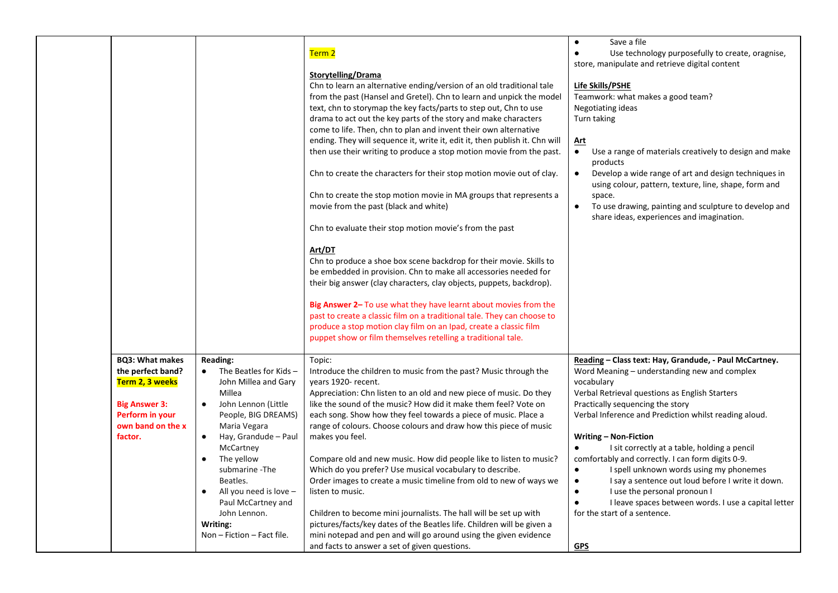|                                                                                                                                           |                                                                                                                                                                                                                                                                                                                                                                                          | Term 2<br>Storytelling/Drama<br>Chn to learn an alternative ending/version of an old traditional tale<br>from the past (Hansel and Gretel). Chn to learn and unpick the model<br>text, chn to storymap the key facts/parts to step out, Chn to use<br>drama to act out the key parts of the story and make characters<br>come to life. Then, chn to plan and invent their own alternative<br>ending. They will sequence it, write it, edit it, then publish it. Chn will<br>then use their writing to produce a stop motion movie from the past.<br>Chn to create the characters for their stop motion movie out of clay.<br>Chn to create the stop motion movie in MA groups that represents a<br>movie from the past (black and white)<br>Chn to evaluate their stop motion movie's from the past<br>Art/DT<br>Chn to produce a shoe box scene backdrop for their movie. Skills to<br>be embedded in provision. Chn to make all accessories needed for<br>their big answer (clay characters, clay objects, puppets, backdrop).<br>Big Answer 2- To use what they have learnt about movies from the<br>past to create a classic film on a traditional tale. They can choose to | Save a file<br>$\bullet$<br>Use technology purposefully to create, oragnise,<br>$\bullet$<br>store, manipulate and retrieve digital content<br>Life Skills/PSHE<br>Teamwork: what makes a good team?<br>Negotiating ideas<br>Turn taking<br><u>Art</u><br>Use a range of materials creatively to design and make<br>$\bullet$<br>products<br>Develop a wide range of art and design techniques in<br>$\bullet$<br>using colour, pattern, texture, line, shape, form and<br>space.<br>To use drawing, painting and sculpture to develop and<br>$\bullet$<br>share ideas, experiences and imagination.                                                                                        |
|-------------------------------------------------------------------------------------------------------------------------------------------|------------------------------------------------------------------------------------------------------------------------------------------------------------------------------------------------------------------------------------------------------------------------------------------------------------------------------------------------------------------------------------------|---------------------------------------------------------------------------------------------------------------------------------------------------------------------------------------------------------------------------------------------------------------------------------------------------------------------------------------------------------------------------------------------------------------------------------------------------------------------------------------------------------------------------------------------------------------------------------------------------------------------------------------------------------------------------------------------------------------------------------------------------------------------------------------------------------------------------------------------------------------------------------------------------------------------------------------------------------------------------------------------------------------------------------------------------------------------------------------------------------------------------------------------------------------------------------|---------------------------------------------------------------------------------------------------------------------------------------------------------------------------------------------------------------------------------------------------------------------------------------------------------------------------------------------------------------------------------------------------------------------------------------------------------------------------------------------------------------------------------------------------------------------------------------------------------------------------------------------------------------------------------------------|
| <b>BQ3: What makes</b><br>the perfect band?<br>Term 2, 3 weeks<br><b>Big Answer 3:</b><br>Perform in your<br>own band on the x<br>factor. | <b>Reading:</b><br>The Beatles for Kids-<br>$\bullet$<br>John Millea and Gary<br>Millea<br>John Lennon (Little<br>$\bullet$<br>People, BIG DREAMS)<br>Maria Vegara<br>Hay, Grandude - Paul<br>$\bullet$<br>McCartney<br>The yellow<br>submarine - The<br>Beatles.<br>All you need is love -<br>$\bullet$<br>Paul McCartney and<br>John Lennon.<br>Writing:<br>Non - Fiction - Fact file. | produce a stop motion clay film on an Ipad, create a classic film<br>puppet show or film themselves retelling a traditional tale.<br>Topic:<br>Introduce the children to music from the past? Music through the<br>years 1920- recent.<br>Appreciation: Chn listen to an old and new piece of music. Do they<br>like the sound of the music? How did it make them feel? Vote on<br>each song. Show how they feel towards a piece of music. Place a<br>range of colours. Choose colours and draw how this piece of music<br>makes you feel.<br>Compare old and new music. How did people like to listen to music?<br>Which do you prefer? Use musical vocabulary to describe.<br>Order images to create a music timeline from old to new of ways we<br>listen to music.<br>Children to become mini journalists. The hall will be set up with<br>pictures/facts/key dates of the Beatles life. Children will be given a<br>mini notepad and pen and will go around using the given evidence<br>and facts to answer a set of given questions.                                                                                                                                      | Reading - Class text: Hay, Grandude, - Paul McCartney.<br>Word Meaning - understanding new and complex<br>vocabulary<br>Verbal Retrieval questions as English Starters<br>Practically sequencing the story<br>Verbal Inference and Prediction whilst reading aloud.<br>Writing - Non-Fiction<br>I sit correctly at a table, holding a pencil<br>$\bullet$<br>comfortably and correctly. I can form digits 0-9.<br>I spell unknown words using my phonemes<br>$\bullet$<br>I say a sentence out loud before I write it down.<br>I use the personal pronoun I<br>$\bullet$<br>I leave spaces between words. I use a capital letter<br>$\bullet$<br>for the start of a sentence.<br><b>GPS</b> |